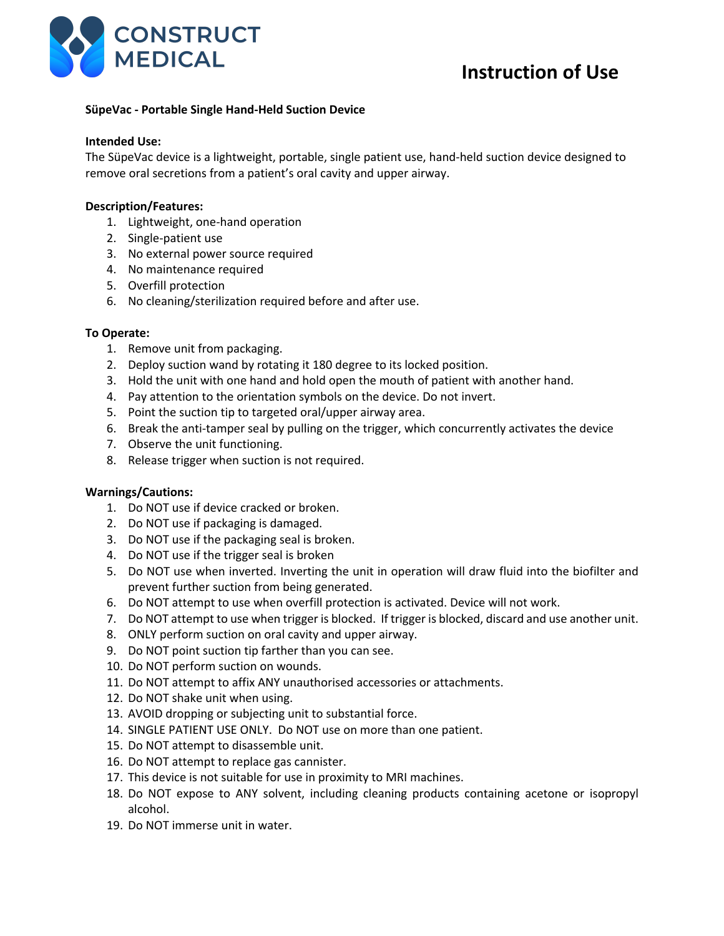

# **SüpeVac - Portable Single Hand-Held Suction Device**

### **Intended Use:**

The SüpeVac device is a lightweight, portable, single patient use, hand-held suction device designed to remove oral secretions from a patient's oral cavity and upper airway.

### **Description/Features:**

- 1. Lightweight, one-hand operation
- 2. Single-patient use
- 3. No external power source required
- 4. No maintenance required
- 5. Overfill protection
- 6. No cleaning/sterilization required before and after use.

# **To Operate:**

- 1. Remove unit from packaging.
- 2. Deploy suction wand by rotating it 180 degree to its locked position.
- 3. Hold the unit with one hand and hold open the mouth of patient with another hand.
- 4. Pay attention to the orientation symbols on the device. Do not invert.
- 5. Point the suction tip to targeted oral/upper airway area.
- 6. Break the anti-tamper seal by pulling on the trigger, which concurrently activates the device
- 7. Observe the unit functioning.
- 8. Release trigger when suction is not required.

# **Warnings/Cautions:**

- 1. Do NOT use if device cracked or broken.
- 2. Do NOT use if packaging is damaged.
- 3. Do NOT use if the packaging seal is broken.
- 4. Do NOT use if the trigger seal is broken
- 5. Do NOT use when inverted. Inverting the unit in operation will draw fluid into the biofilter and prevent further suction from being generated.
- 6. Do NOT attempt to use when overfill protection is activated. Device will not work.
- 7. Do NOT attempt to use when trigger is blocked. If trigger is blocked, discard and use another unit.
- 8. ONLY perform suction on oral cavity and upper airway.
- 9. Do NOT point suction tip farther than you can see.
- 10. Do NOT perform suction on wounds.
- 11. Do NOT attempt to affix ANY unauthorised accessories or attachments.
- 12. Do NOT shake unit when using.
- 13. AVOID dropping or subjecting unit to substantial force.
- 14. SINGLE PATIENT USE ONLY. Do NOT use on more than one patient.
- 15. Do NOT attempt to disassemble unit.
- 16. Do NOT attempt to replace gas cannister.
- 17. This device is not suitable for use in proximity to MRI machines.
- 18. Do NOT expose to ANY solvent, including cleaning products containing acetone or isopropyl alcohol.
- 19. Do NOT immerse unit in water.